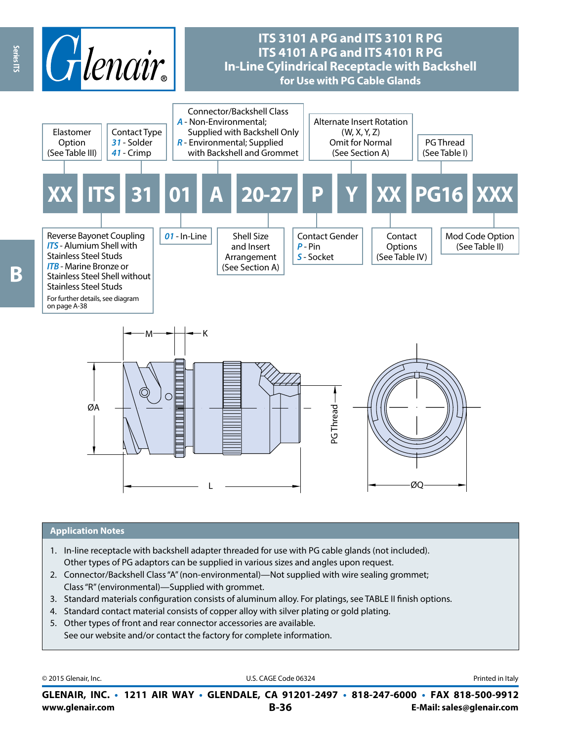

#### **Application Notes**

- 1. In-line receptacle with backshell adapter threaded for use with PG cable glands (not included). Other types of PG adaptors can be supplied in various sizes and angles upon request.
- 2. Connector/Backshell Class "A" (non-environmental)—Not supplied with wire sealing grommet; Class "R" (environmental)—Supplied with grommet.
- 3. Standard materials configuration consists of aluminum alloy. For platings, see TABLE II finish options.
- 4. Standard contact material consists of copper alloy with silver plating or gold plating.
- 5. Other types of front and rear connector accessories are available. See our website and/or contact the factory for complete information.

© 2015 Glenair, Inc. **Discription Construction Construction Construction Construction Construction Construction Construction Construction Construction Construction Construction Construction Construction Construction Constr** 

**www.glenair.com B-36 E-Mail: sales@glenair.com GLENAIR, INC. • 1211 AIR WAY • GLENDALE, CA 91201-2497 • 818-247-6000 • FAX 818-500-9912**

Β